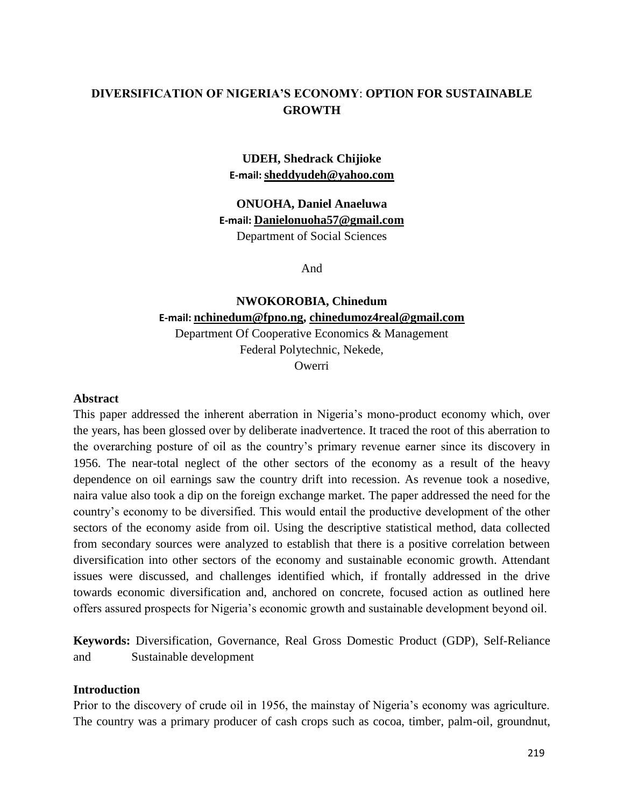## **DIVERSIFICATION OF NIGERIA'S ECONOMY**: **OPTION FOR SUSTAINABLE GROWTH**

#### **UDEH, Shedrack Chijioke E-mail: [sheddyudeh@yahoo.com](mailto:sheddyudeh@yahoo.com)**

**ONUOHA, Daniel Anaeluwa E-mail: [Danielonuoha57@gmail.com](mailto:Danielonuoha57@gmail.com)** Department of Social Sciences

And

# **NWOKOROBIA, Chinedum E-mail: [nchinedum@fpno.ng,](mailto:nchinedum@fpno.ng) [chinedumoz4real@gmail.com](mailto:chinedumoz4real@gmail.com)** Department Of Cooperative Economics & Management Federal Polytechnic, Nekede, **Owerri**

**Abstract**

This paper addressed the inherent aberration in Nigeria's mono-product economy which, over the years, has been glossed over by deliberate inadvertence. It traced the root of this aberration to the overarching posture of oil as the country's primary revenue earner since its discovery in 1956. The near-total neglect of the other sectors of the economy as a result of the heavy dependence on oil earnings saw the country drift into recession. As revenue took a nosedive, naira value also took a dip on the foreign exchange market. The paper addressed the need for the country's economy to be diversified. This would entail the productive development of the other sectors of the economy aside from oil. Using the descriptive statistical method, data collected from secondary sources were analyzed to establish that there is a positive correlation between diversification into other sectors of the economy and sustainable economic growth. Attendant issues were discussed, and challenges identified which, if frontally addressed in the drive towards economic diversification and, anchored on concrete, focused action as outlined here offers assured prospects for Nigeria's economic growth and sustainable development beyond oil.

**Keywords:** Diversification, Governance, Real Gross Domestic Product (GDP), Self-Reliance and Sustainable development

#### **Introduction**

Prior to the discovery of crude oil in 1956, the mainstay of Nigeria's economy was agriculture. The country was a primary producer of cash crops such as cocoa, timber, palm-oil, groundnut,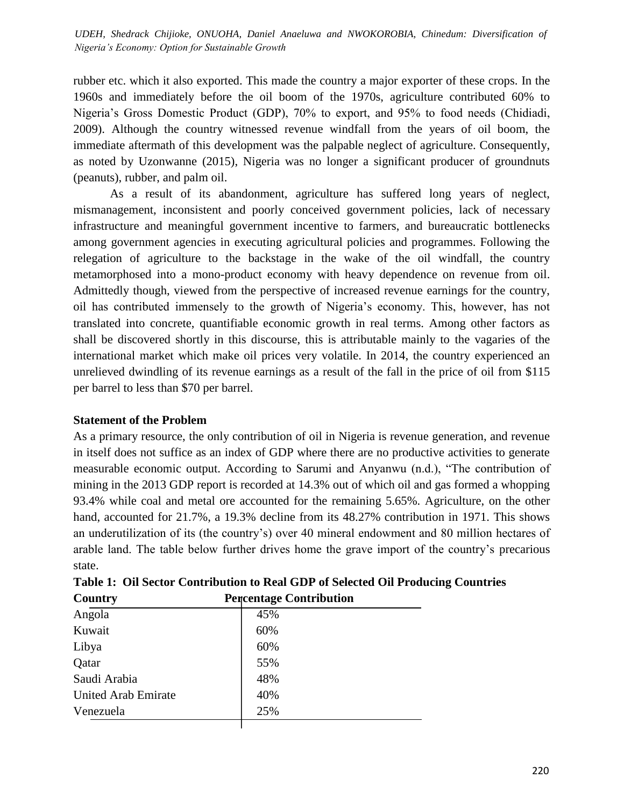rubber etc. which it also exported. This made the country a major exporter of these crops. In the 1960s and immediately before the oil boom of the 1970s, agriculture contributed 60% to Nigeria's Gross Domestic Product (GDP), 70% to export, and 95% to food needs (Chidiadi, 2009). Although the country witnessed revenue windfall from the years of oil boom, the immediate aftermath of this development was the palpable neglect of agriculture. Consequently, as noted by Uzonwanne (2015), Nigeria was no longer a significant producer of groundnuts (peanuts), rubber, and palm oil.

As a result of its abandonment, agriculture has suffered long years of neglect, mismanagement, inconsistent and poorly conceived government policies, lack of necessary infrastructure and meaningful government incentive to farmers, and bureaucratic bottlenecks among government agencies in executing agricultural policies and programmes. Following the relegation of agriculture to the backstage in the wake of the oil windfall, the country metamorphosed into a mono-product economy with heavy dependence on revenue from oil. Admittedly though, viewed from the perspective of increased revenue earnings for the country, oil has contributed immensely to the growth of Nigeria's economy. This, however, has not translated into concrete, quantifiable economic growth in real terms. Among other factors as shall be discovered shortly in this discourse, this is attributable mainly to the vagaries of the international market which make oil prices very volatile. In 2014, the country experienced an unrelieved dwindling of its revenue earnings as a result of the fall in the price of oil from \$115 per barrel to less than \$70 per barrel.

#### **Statement of the Problem**

As a primary resource, the only contribution of oil in Nigeria is revenue generation, and revenue in itself does not suffice as an index of GDP where there are no productive activities to generate measurable economic output. According to Sarumi and Anyanwu (n.d.), "The contribution of mining in the 2013 GDP report is recorded at 14.3% out of which oil and gas formed a whopping 93.4% while coal and metal ore accounted for the remaining 5.65%. Agriculture, on the other hand, accounted for 21.7%, a 19.3% decline from its 48.27% contribution in 1971. This shows an underutilization of its (the country's) over 40 mineral endowment and 80 million hectares of arable land. The table below further drives home the grave import of the country's precarious state.

| Country             | Percentage Contribution |  |
|---------------------|-------------------------|--|
| Angola              | 45%                     |  |
| Kuwait              | 60%                     |  |
| Libya               | 60%                     |  |
| Qatar               | 55%                     |  |
| Saudi Arabia        | 48%                     |  |
| United Arab Emirate | 40%                     |  |
| Venezuela           | 25%                     |  |
|                     |                         |  |

**Table 1: Oil Sector Contribution to Real GDP of Selected Oil Producing Countries Country Percentage Contribution**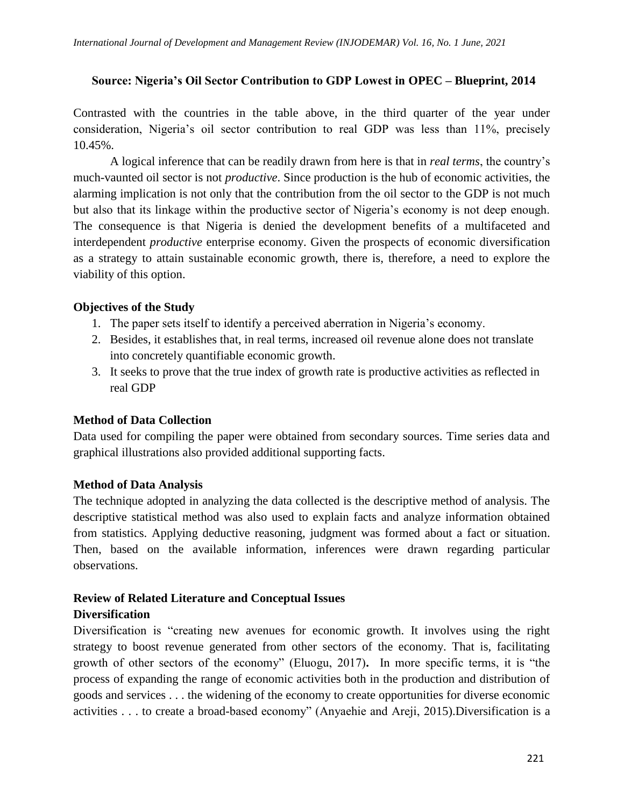#### **Source: Nigeria's Oil Sector Contribution to GDP Lowest in OPEC – Blueprint, 2014**

Contrasted with the countries in the table above, in the third quarter of the year under consideration, Nigeria's oil sector contribution to real GDP was less than 11%, precisely 10.45%.

A logical inference that can be readily drawn from here is that in *real terms*, the country's much-vaunted oil sector is not *productive*. Since production is the hub of economic activities, the alarming implication is not only that the contribution from the oil sector to the GDP is not much but also that its linkage within the productive sector of Nigeria's economy is not deep enough. The consequence is that Nigeria is denied the development benefits of a multifaceted and interdependent *productive* enterprise economy. Given the prospects of economic diversification as a strategy to attain sustainable economic growth, there is, therefore, a need to explore the viability of this option.

#### **Objectives of the Study**

- 1. The paper sets itself to identify a perceived aberration in Nigeria's economy.
- 2. Besides, it establishes that, in real terms, increased oil revenue alone does not translate into concretely quantifiable economic growth.
- 3. It seeks to prove that the true index of growth rate is productive activities as reflected in real GDP

## **Method of Data Collection**

Data used for compiling the paper were obtained from secondary sources. Time series data and graphical illustrations also provided additional supporting facts.

## **Method of Data Analysis**

The technique adopted in analyzing the data collected is the descriptive method of analysis. The descriptive statistical method was also used to explain facts and analyze information obtained from statistics. Applying deductive reasoning, judgment was formed about a fact or situation. Then, based on the available information, inferences were drawn regarding particular observations.

# **Review of Related Literature and Conceptual Issues**

# **Diversification**

Diversification is "creating new avenues for economic growth. It involves using the right strategy to boost revenue generated from other sectors of the economy. That is, facilitating growth of other sectors of the economy" (Eluogu, 2017). In more specific terms, it is "the process of expanding the range of economic activities both in the production and distribution of goods and services . . . the widening of the economy to create opportunities for diverse economic activities . . . to create a broad-based economy" (Anyaehie and Areji, 2015). Diversification is a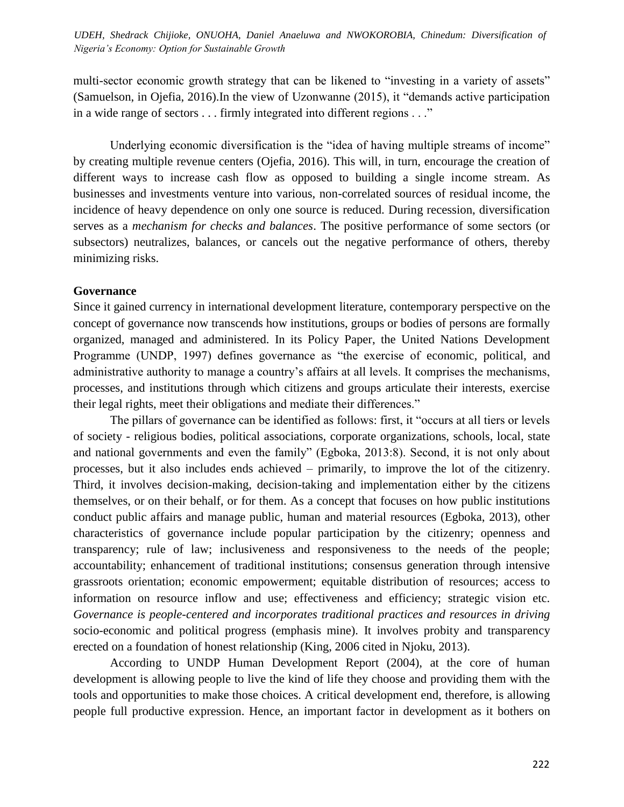multi-sector economic growth strategy that can be likened to "investing in a variety of assets" (Samuelson, in Ojefia, 2016). In the view of Uzonwanne  $(2015)$ , it "demands active participation in a wide range of sectors . . . firmly integrated into different regions . . ."

Underlying economic diversification is the "idea of having multiple streams of income" by creating multiple revenue centers (Ojefia, 2016). This will, in turn, encourage the creation of different ways to increase cash flow as opposed to building a single income stream. As businesses and investments venture into various, non-correlated sources of residual income, the incidence of heavy dependence on only one source is reduced. During recession, diversification serves as a *mechanism for checks and balances*. The positive performance of some sectors (or subsectors) neutralizes, balances, or cancels out the negative performance of others, thereby minimizing risks.

#### **Governance**

Since it gained currency in international development literature, contemporary perspective on the concept of governance now transcends how institutions, groups or bodies of persons are formally organized, managed and administered. In its Policy Paper, the United Nations Development Programme (UNDP, 1997) defines governance as "the exercise of economic, political, and administrative authority to manage a country's affairs at all levels. It comprises the mechanisms, processes, and institutions through which citizens and groups articulate their interests, exercise their legal rights, meet their obligations and mediate their differences."

The pillars of governance can be identified as follows: first, it "occurs at all tiers or levels of society - religious bodies, political associations, corporate organizations, schools, local, state and national governments and even the family" (Egboka, 2013:8). Second, it is not only about processes, but it also includes ends achieved – primarily, to improve the lot of the citizenry. Third, it involves decision-making, decision-taking and implementation either by the citizens themselves, or on their behalf, or for them. As a concept that focuses on how public institutions conduct public affairs and manage public, human and material resources (Egboka, 2013), other characteristics of governance include popular participation by the citizenry; openness and transparency; rule of law; inclusiveness and responsiveness to the needs of the people; accountability; enhancement of traditional institutions; consensus generation through intensive grassroots orientation; economic empowerment; equitable distribution of resources; access to information on resource inflow and use; effectiveness and efficiency; strategic vision etc. *Governance is people-centered and incorporates traditional practices and resources in driving* socio-economic and political progress (emphasis mine)*.* It involves probity and transparency erected on a foundation of honest relationship (King, 2006 cited in Njoku, 2013).

According to UNDP Human Development Report (2004), at the core of human development is allowing people to live the kind of life they choose and providing them with the tools and opportunities to make those choices. A critical development end, therefore, is allowing people full productive expression. Hence, an important factor in development as it bothers on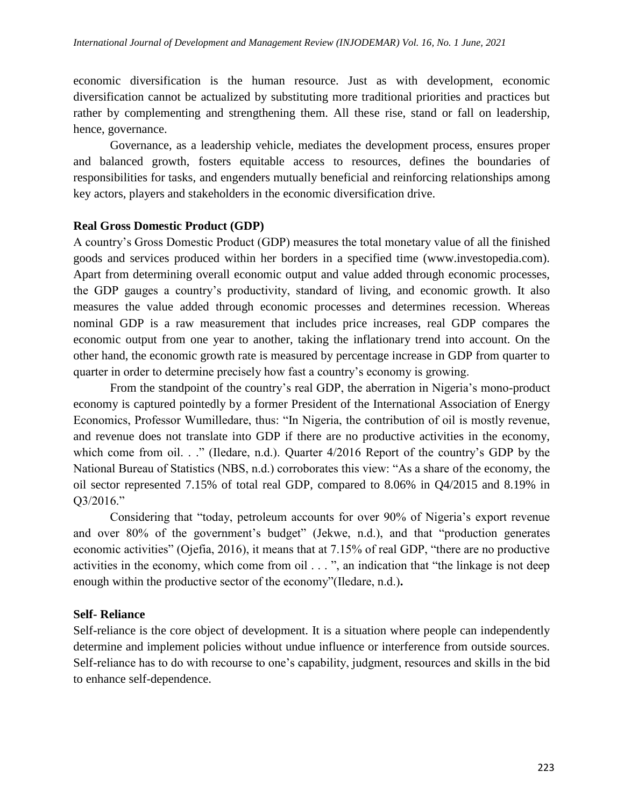economic diversification is the human resource. Just as with development, economic diversification cannot be actualized by substituting more traditional priorities and practices but rather by complementing and strengthening them. All these rise, stand or fall on leadership, hence, governance.

Governance, as a leadership vehicle, mediates the development process, ensures proper and balanced growth, fosters equitable access to resources, defines the boundaries of responsibilities for tasks, and engenders mutually beneficial and reinforcing relationships among key actors, players and stakeholders in the economic diversification drive.

#### **Real Gross Domestic Product (GDP)**

A country's Gross Domestic Product (GDP) measures the total monetary value of all the finished goods and services produced within her borders in a specified time (www.investopedia.com). Apart from determining overall economic output and value added through economic processes, the GDP gauges a country's productivity, standard of living, and economic growth. It also measures the value added through economic processes and determines recession. Whereas nominal GDP is a raw measurement that includes price increases, real GDP compares the economic output from one year to another, taking the inflationary trend into account. On the other hand, the economic growth rate is measured by percentage increase in GDP from quarter to quarter in order to determine precisely how fast a country's economy is growing.

From the standpoint of the country's real GDP, the aberration in Nigeria's mono-product economy is captured pointedly by a former President of the International Association of Energy Economics, Professor Wumilledare, thus: "In Nigeria, the contribution of oil is mostly revenue, and revenue does not translate into GDP if there are no productive activities in the economy, which come from oil. . ." (Iledare, n.d.). Quarter  $4/2016$  Report of the country's GDP by the National Bureau of Statistics (NBS, n.d.) corroborates this view: "As a share of the economy, the oil sector represented 7.15% of total real GDP, compared to 8.06% in Q4/2015 and 8.19% in  $O3/2016."$ 

Considering that "today, petroleum accounts for over 90% of Nigeria's export revenue and over  $80\%$  of the government's budget" (Jekwe, n.d.), and that "production generates economic activities" (Ojefia, 2016), it means that at 7.15% of real GDP, "there are no productive activities in the economy, which come from oil  $\dots$ , an indication that "the linkage is not deep enough within the productive sector of the economy"(Iledare, n.d.).

## **Self- Reliance**

Self-reliance is the core object of development. It is a situation where people can independently determine and implement policies without undue influence or interference from outside sources. Self-reliance has to do with recourse to one's capability, judgment, resources and skills in the bid to enhance self-dependence.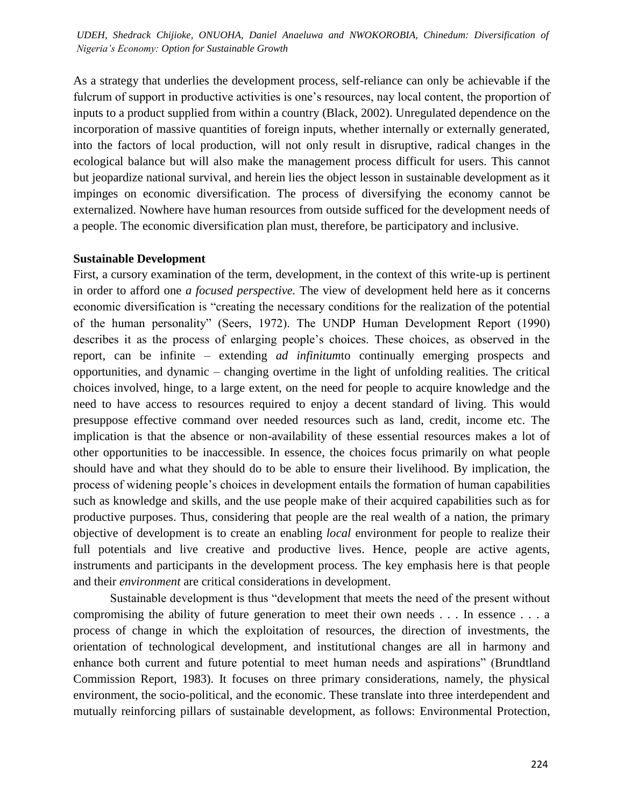As a strategy that underlies the development process, self-reliance can only be achievable if the fulcrum of support in productive activities is one's resources, nay local content, the proportion of inputs to a product supplied from within a country (Black, 2002). Unregulated dependence on the incorporation of massive quantities of foreign inputs, whether internally or externally generated, into the factors of local production, will not only result in disruptive, radical changes in the ecological balance but will also make the management process difficult for users. This cannot but jeopardize national survival, and herein lies the object lesson in sustainable development as it impinges on economic diversification. The process of diversifying the economy cannot be externalized. Nowhere have human resources from outside sufficed for the development needs of a people. The economic diversification plan must, therefore, be participatory and inclusive.

#### **Sustainable Development**

First, a cursory examination of the term, development, in the context of this write-up is pertinent in order to afford one *a focused perspective.* The view of development held here as it concerns economic diversification is "creating the necessary conditions for the realization of the potential of the human personality" (Seers, 1972). The UNDP Human Development Report (1990) describes it as the process of enlarging people's choices. These choices, as observed in the report, can be infinite – extending *ad infinitum*to continually emerging prospects and opportunities, and dynamic – changing overtime in the light of unfolding realities. The critical choices involved, hinge, to a large extent, on the need for people to acquire knowledge and the need to have access to resources required to enjoy a decent standard of living. This would presuppose effective command over needed resources such as land, credit, income etc. The implication is that the absence or non-availability of these essential resources makes a lot of other opportunities to be inaccessible. In essence, the choices focus primarily on what people should have and what they should do to be able to ensure their livelihood. By implication, the process of widening people's choices in development entails the formation of human capabilities such as knowledge and skills, and the use people make of their acquired capabilities such as for productive purposes. Thus, considering that people are the real wealth of a nation, the primary objective of development is to create an enabling *local* environment for people to realize their full potentials and live creative and productive lives. Hence, people are active agents, instruments and participants in the development process. The key emphasis here is that people and their *environment* are critical considerations in development.

Sustainable development is thus "development that meets the need of the present without compromising the ability of future generation to meet their own needs . . . In essence . . . a process of change in which the exploitation of resources, the direction of investments, the orientation of technological development, and institutional changes are all in harmony and enhance both current and future potential to meet human needs and aspirations" (Brundtland Commission Report, 1983). It focuses on three primary considerations, namely, the physical environment, the socio-political, and the economic. These translate into three interdependent and mutually reinforcing pillars of sustainable development, as follows: Environmental Protection,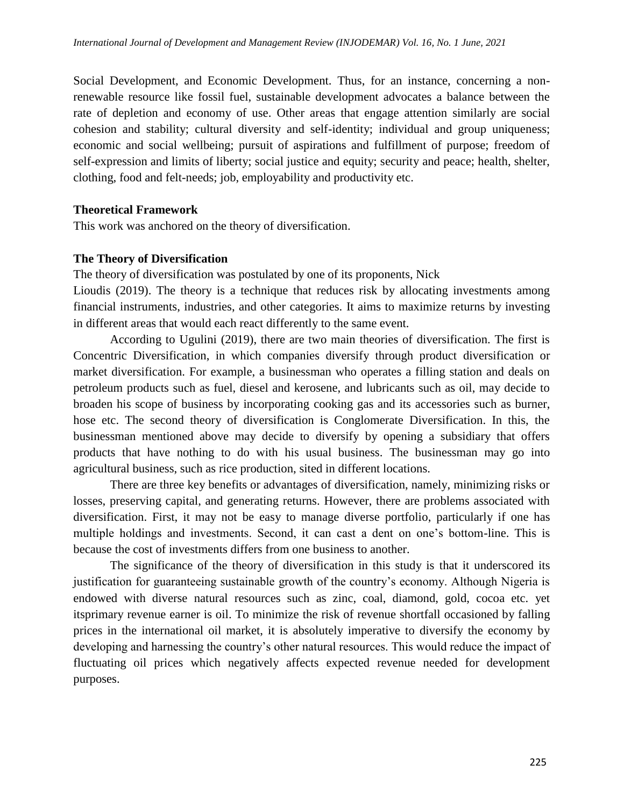Social Development, and Economic Development. Thus, for an instance, concerning a nonrenewable resource like fossil fuel, sustainable development advocates a balance between the rate of depletion and economy of use. Other areas that engage attention similarly are social cohesion and stability; cultural diversity and self-identity; individual and group uniqueness; economic and social wellbeing; pursuit of aspirations and fulfillment of purpose; freedom of self-expression and limits of liberty; social justice and equity; security and peace; health, shelter, clothing, food and felt-needs; job, employability and productivity etc.

#### **Theoretical Framework**

This work was anchored on the theory of diversification.

#### **The Theory of Diversification**

The theory of diversification was postulated by one of its proponents, Nick

Lioudis (2019). The theory is a technique that reduces risk by allocating investments among financial instruments, industries, and other categories. It aims to maximize returns by investing in different areas that would each react differently to the same event.

According to Ugulini (2019), there are two main theories of diversification. The first is Concentric Diversification, in which companies diversify through product diversification or market diversification. For example, a businessman who operates a filling station and deals on petroleum products such as fuel, diesel and kerosene, and lubricants such as oil, may decide to broaden his scope of business by incorporating cooking gas and its accessories such as burner, hose etc. The second theory of diversification is Conglomerate Diversification. In this, the businessman mentioned above may decide to diversify by opening a subsidiary that offers products that have nothing to do with his usual business. The businessman may go into agricultural business, such as rice production, sited in different locations.

There are three key benefits or advantages of diversification, namely, minimizing risks or losses, preserving capital, and generating returns. However, there are problems associated with diversification. First, it may not be easy to manage diverse portfolio, particularly if one has multiple holdings and investments. Second, it can cast a dent on one's bottom-line. This is because the cost of investments differs from one business to another.

The significance of the theory of diversification in this study is that it underscored its justification for guaranteeing sustainable growth of the country's economy. Although Nigeria is endowed with diverse natural resources such as zinc, coal, diamond, gold, cocoa etc. yet itsprimary revenue earner is oil. To minimize the risk of revenue shortfall occasioned by falling prices in the international oil market, it is absolutely imperative to diversify the economy by developing and harnessing the country's other natural resources. This would reduce the impact of fluctuating oil prices which negatively affects expected revenue needed for development purposes.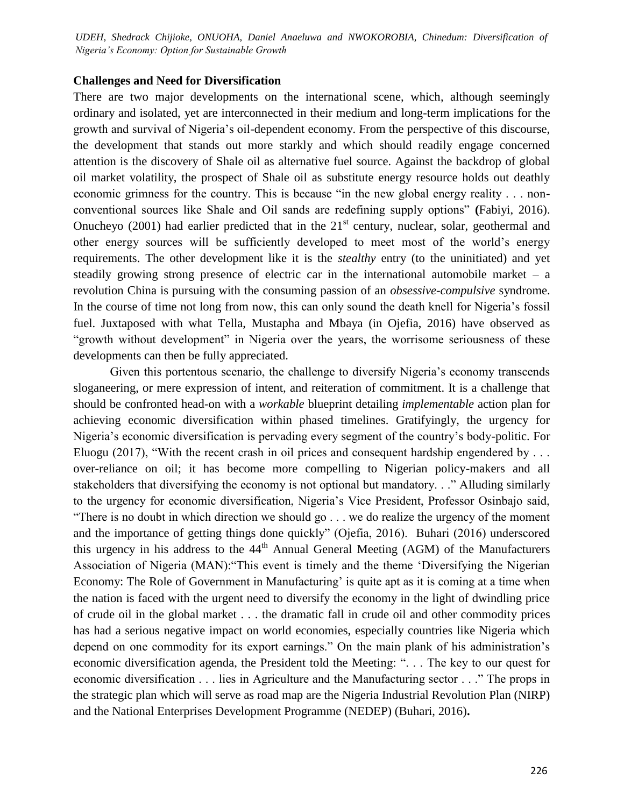*International Journal of Development and Management Review (INJODEMAR) Vol. 16, No. 1 June, 2021 UDEH, Shedrack Chijioke, ONUOHA, Daniel Anaeluwa and NWOKOROBIA, Chinedum: Diversification of Nigeria's Economy: Option for Sustainable Growth*

#### **Challenges and Need for Diversification**

There are two major developments on the international scene, which, although seemingly ordinary and isolated, yet are interconnected in their medium and long-term implications for the growth and survival of Nigeria's oil-dependent economy. From the perspective of this discourse, the development that stands out more starkly and which should readily engage concerned attention is the discovery of Shale oil as alternative fuel source. Against the backdrop of global oil market volatility, the prospect of Shale oil as substitute energy resource holds out deathly economic grimness for the country. This is because "in the new global energy reality . . . nonconventional sources like Shale and Oil sands are redefining supply options" (Fabiyi, 2016). Onucheyo (2001) had earlier predicted that in the  $21<sup>st</sup>$  century, nuclear, solar, geothermal and other energy sources will be sufficiently developed to meet most of the world's energy requirements. The other development like it is the *stealthy* entry (to the uninitiated) and yet steadily growing strong presence of electric car in the international automobile market  $-$  a revolution China is pursuing with the consuming passion of an *obsessive-compulsive* syndrome. In the course of time not long from now, this can only sound the death knell for Nigeria's fossil fuel. Juxtaposed with what Tella, Mustapha and Mbaya (in Ojefia, 2016) have observed as "growth without development" in Nigeria over the years, the worrisome seriousness of these developments can then be fully appreciated.

Given this portentous scenario, the challenge to diversify Nigeria's economy transcends sloganeering, or mere expression of intent, and reiteration of commitment. It is a challenge that should be confronted head-on with a *workable* blueprint detailing *implementable* action plan for achieving economic diversification within phased timelines. Gratifyingly, the urgency for Nigeria's economic diversification is pervading every segment of the country's body-politic. For Eluogu (2017), "With the recent crash in oil prices and consequent hardship engendered by  $\dots$ over-reliance on oil; it has become more compelling to Nigerian policy-makers and all stakeholders that diversifying the economy is not optional but mandatory. . ." Alluding similarly to the urgency for economic diversification, Nigeria's Vice President, Professor Osinbajo said, "There is no doubt in which direction we should go  $\ldots$  we do realize the urgency of the moment and the importance of getting things done quickly" (Ojefia, 2016). Buhari (2016) underscored this urgency in his address to the  $44<sup>th</sup>$  Annual General Meeting (AGM) of the Manufacturers Association of Nigeria (MAN): "This event is timely and the theme 'Diversifying the Nigerian Economy: The Role of Government in Manufacturing' is quite apt as it is coming at a time when the nation is faced with the urgent need to diversify the economy in the light of dwindling price of crude oil in the global market . . . the dramatic fall in crude oil and other commodity prices has had a serious negative impact on world economies, especially countries like Nigeria which depend on one commodity for its export earnings." On the main plank of his administration's economic diversification agenda, the President told the Meeting: ". . . The key to our quest for economic diversification . . . lies in Agriculture and the Manufacturing sector . . ." The props in the strategic plan which will serve as road map are the Nigeria Industrial Revolution Plan (NIRP) and the National Enterprises Development Programme (NEDEP) (Buhari, 2016)**.**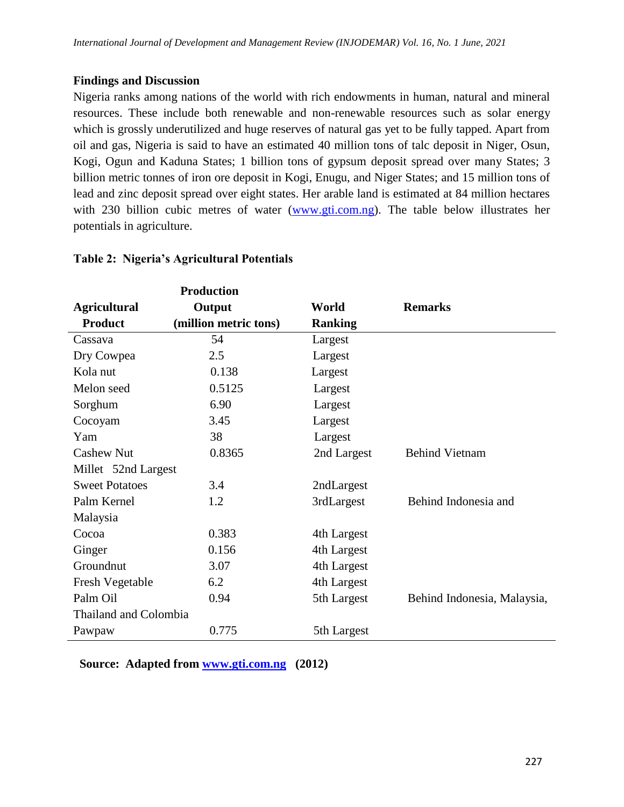## **Findings and Discussion**

Nigeria ranks among nations of the world with rich endowments in human, natural and mineral resources. These include both renewable and non-renewable resources such as solar energy which is grossly underutilized and huge reserves of natural gas yet to be fully tapped. Apart from oil and gas, Nigeria is said to have an estimated 40 million tons of talc deposit in Niger, Osun, Kogi, Ogun and Kaduna States; 1 billion tons of gypsum deposit spread over many States; 3 billion metric tonnes of iron ore deposit in Kogi, Enugu, and Niger States; and 15 million tons of lead and zinc deposit spread over eight states. Her arable land is estimated at 84 million hectares with 230 billion cubic metres of water [\(www.gti.com.ng\)](http://www.gti.com.ng/). The table below illustrates her potentials in agriculture.

|                        | <b>Production</b>     |                |                             |
|------------------------|-----------------------|----------------|-----------------------------|
| <b>Agricultural</b>    | Output                | World          | <b>Remarks</b>              |
| <b>Product</b>         | (million metric tons) | <b>Ranking</b> |                             |
| Cassava                | 54                    | Largest        |                             |
| Dry Cowpea             | 2.5                   | Largest        |                             |
| Kola nut               | 0.138                 | Largest        |                             |
| Melon seed             | 0.5125                | Largest        |                             |
| Sorghum                | 6.90                  | Largest        |                             |
| Cocoyam                | 3.45                  | Largest        |                             |
| Yam                    | 38                    | Largest        |                             |
| <b>Cashew Nut</b>      | 0.8365                | 2nd Largest    | <b>Behind Vietnam</b>       |
| Millet 52nd Largest    |                       |                |                             |
| <b>Sweet Potatoes</b>  | 3.4                   | 2ndLargest     |                             |
| Palm Kernel            | 1.2                   | 3rdLargest     | Behind Indonesia and        |
| Malaysia               |                       |                |                             |
| Cocoa                  | 0.383                 | 4th Largest    |                             |
| Ginger                 | 0.156                 | 4th Largest    |                             |
| Groundnut              | 3.07                  | 4th Largest    |                             |
| <b>Fresh Vegetable</b> | 6.2                   | 4th Largest    |                             |
| Palm Oil               | 0.94                  | 5th Largest    | Behind Indonesia, Malaysia, |
| Thailand and Colombia  |                       |                |                             |
| Pawpaw                 | 0.775                 | 5th Largest    |                             |

## **Table 2: Nigeria's Agricultural Potentials**

 **Source: Adapted from [www.gti.com.ng](http://www.gti.com.ng/) (2012)**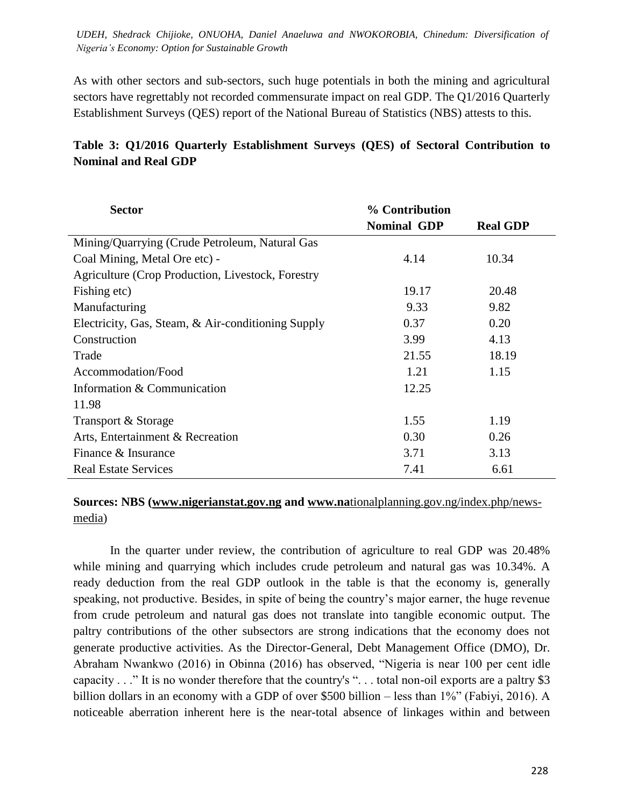As with other sectors and sub-sectors, such huge potentials in both the mining and agricultural sectors have regrettably not recorded commensurate impact on real GDP. The Q1/2016 Quarterly Establishment Surveys (QES) report of the National Bureau of Statistics (NBS) attests to this.

## **Table 3: Q1/2016 Quarterly Establishment Surveys (QES) of Sectoral Contribution to Nominal and Real GDP**

| <b>Sector</b>                                      | % Contribution     |                 |
|----------------------------------------------------|--------------------|-----------------|
|                                                    | <b>Nominal GDP</b> | <b>Real GDP</b> |
| Mining/Quarrying (Crude Petroleum, Natural Gas     |                    |                 |
| Coal Mining, Metal Ore etc) -                      | 4.14               | 10.34           |
| Agriculture (Crop Production, Livestock, Forestry  |                    |                 |
| Fishing etc)                                       | 19.17              | 20.48           |
| Manufacturing                                      | 9.33               | 9.82            |
| Electricity, Gas, Steam, & Air-conditioning Supply | 0.37               | 0.20            |
| Construction                                       | 3.99               | 4.13            |
| Trade                                              | 21.55              | 18.19           |
| Accommodation/Food                                 | 1.21               | 1.15            |
| Information & Communication                        | 12.25              |                 |
| 11.98                                              |                    |                 |
| Transport & Storage                                | 1.55               | 1.19            |
| Arts, Entertainment & Recreation                   | 0.30               | 0.26            |
| Finance & Insurance                                | 3.71               | 3.13            |
| <b>Real Estate Services</b>                        | 7.41               | 6.61            |

## **Sources: NBS [\(www.nigerianstat.gov.ng](http://www.nigerianstat.gov.ng/) and www.na**[tionalplanning.gov.ng/index.php/news](http://www.nationalplanning.gov.ng/index.php/news-media)[media\)](http://www.nationalplanning.gov.ng/index.php/news-media)

In the quarter under review, the contribution of agriculture to real GDP was 20.48% while mining and quarrying which includes crude petroleum and natural gas was 10.34%. A ready deduction from the real GDP outlook in the table is that the economy is, generally speaking, not productive. Besides, in spite of being the country's major earner, the huge revenue from crude petroleum and natural gas does not translate into tangible economic output. The paltry contributions of the other subsectors are strong indications that the economy does not generate productive activities. As the Director-General, Debt Management Office (DMO), Dr. Abraham Nwankwo (2016) in Obinna (2016) has observed, "Nigeria is near 100 per cent idle capacity  $\ldots$  " It is no wonder therefore that the country's "... total non-oil exports are a paltry \$3 billion dollars in an economy with a GDP of over \$500 billion – less than  $1\%$  (Fabiyi, 2016). A noticeable aberration inherent here is the near-total absence of linkages within and between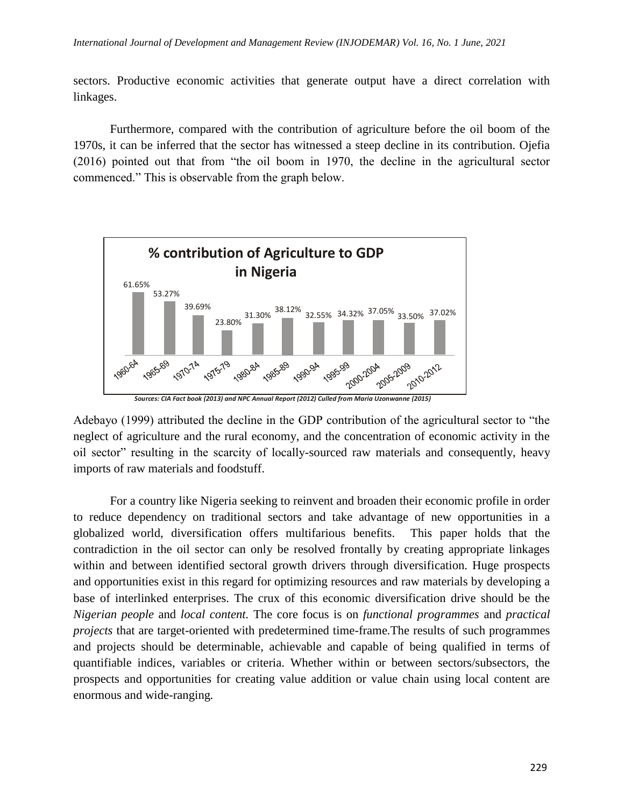sectors. Productive economic activities that generate output have a direct correlation with linkages.

Furthermore, compared with the contribution of agriculture before the oil boom of the 1970s, it can be inferred that the sector has witnessed a steep decline in its contribution. Ojefia  $(2016)$  pointed out that from "the oil boom in 1970, the decline in the agricultural sector commenced." This is observable from the graph below.



*Sources: CIA Fact book (2013) and NPC Annual Report (2012) Culled from Maria Uzonwanne (2015)*

Adebayo (1999) attributed the decline in the GDP contribution of the agricultural sector to "the neglect of agriculture and the rural economy, and the concentration of economic activity in the oil sector" resulting in the scarcity of locally-sourced raw materials and consequently, heavy imports of raw materials and foodstuff.

For a country like Nigeria seeking to reinvent and broaden their economic profile in order to reduce dependency on traditional sectors and take advantage of new opportunities in a globalized world, diversification offers multifarious benefits. This paper holds that the contradiction in the oil sector can only be resolved frontally by creating appropriate linkages within and between identified sectoral growth drivers through diversification. Huge prospects and opportunities exist in this regard for optimizing resources and raw materials by developing a base of interlinked enterprises. The crux of this economic diversification drive should be the *Nigerian people* and *local content.* The core focus is on *functional programmes* and *practical projects* that are target-oriented with predetermined time-frame*.*The results of such programmes and projects should be determinable, achievable and capable of being qualified in terms of quantifiable indices, variables or criteria. Whether within or between sectors/subsectors, the prospects and opportunities for creating value addition or value chain using local content are enormous and wide-ranging*.*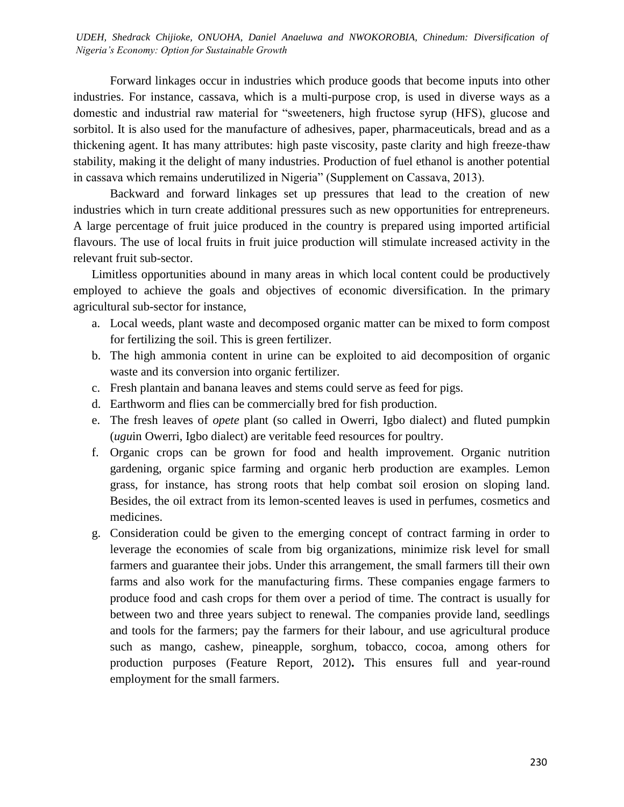*International Journal of Development and Management Review (INJODEMAR) Vol. 16, No. 1 June, 2021 UDEH, Shedrack Chijioke, ONUOHA, Daniel Anaeluwa and NWOKOROBIA, Chinedum: Diversification of Nigeria's Economy: Option for Sustainable Growth*

Forward linkages occur in industries which produce goods that become inputs into other industries. For instance, cassava, which is a multi-purpose crop, is used in diverse ways as a domestic and industrial raw material for "sweeteners, high fructose syrup (HFS), glucose and sorbitol. It is also used for the manufacture of adhesives, paper, pharmaceuticals, bread and as a thickening agent. It has many attributes: high paste viscosity, paste clarity and high freeze-thaw stability, making it the delight of many industries. Production of fuel ethanol is another potential in cassava which remains underutilized in Nigeria" (Supplement on Cassava, 2013).

Backward and forward linkages set up pressures that lead to the creation of new industries which in turn create additional pressures such as new opportunities for entrepreneurs. A large percentage of fruit juice produced in the country is prepared using imported artificial flavours. The use of local fruits in fruit juice production will stimulate increased activity in the relevant fruit sub-sector.

Limitless opportunities abound in many areas in which local content could be productively employed to achieve the goals and objectives of economic diversification. In the primary agricultural sub-sector for instance,

- a. Local weeds, plant waste and decomposed organic matter can be mixed to form compost for fertilizing the soil. This is green fertilizer.
- b. The high ammonia content in urine can be exploited to aid decomposition of organic waste and its conversion into organic fertilizer.
- c. Fresh plantain and banana leaves and stems could serve as feed for pigs.
- d. Earthworm and flies can be commercially bred for fish production.
- e. The fresh leaves of *opete* plant (so called in Owerri, Igbo dialect) and fluted pumpkin (*ugu*in Owerri, Igbo dialect) are veritable feed resources for poultry.
- f. Organic crops can be grown for food and health improvement. Organic nutrition gardening, organic spice farming and organic herb production are examples. Lemon grass, for instance, has strong roots that help combat soil erosion on sloping land. Besides, the oil extract from its lemon-scented leaves is used in perfumes, cosmetics and medicines.
- g. Consideration could be given to the emerging concept of contract farming in order to leverage the economies of scale from big organizations, minimize risk level for small farmers and guarantee their jobs. Under this arrangement, the small farmers till their own farms and also work for the manufacturing firms. These companies engage farmers to produce food and cash crops for them over a period of time. The contract is usually for between two and three years subject to renewal. The companies provide land, seedlings and tools for the farmers; pay the farmers for their labour, and use agricultural produce such as mango, cashew, pineapple, sorghum, tobacco, cocoa, among others for production purposes (Feature Report, 2012)**.** This ensures full and year-round employment for the small farmers.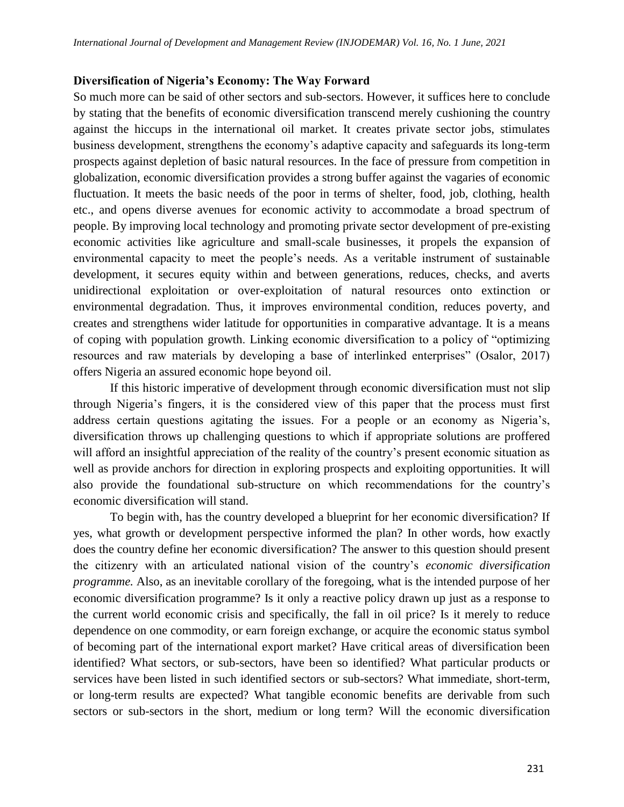#### **Diversification of Nigeria's Economy: The Way Forward**

So much more can be said of other sectors and sub-sectors. However, it suffices here to conclude by stating that the benefits of economic diversification transcend merely cushioning the country against the hiccups in the international oil market. It creates private sector jobs, stimulates business development, strengthens the economy's adaptive capacity and safeguards its long-term prospects against depletion of basic natural resources. In the face of pressure from competition in globalization, economic diversification provides a strong buffer against the vagaries of economic fluctuation. It meets the basic needs of the poor in terms of shelter, food, job, clothing, health etc., and opens diverse avenues for economic activity to accommodate a broad spectrum of people. By improving local technology and promoting private sector development of pre-existing economic activities like agriculture and small-scale businesses, it propels the expansion of environmental capacity to meet the people's needs. As a veritable instrument of sustainable development, it secures equity within and between generations, reduces, checks, and averts unidirectional exploitation or over-exploitation of natural resources onto extinction or environmental degradation. Thus, it improves environmental condition, reduces poverty, and creates and strengthens wider latitude for opportunities in comparative advantage. It is a means of coping with population growth. Linking economic diversification to a policy of "optimizing resources and raw materials by developing a base of interlinked enterprises" (Osalor, 2017) offers Nigeria an assured economic hope beyond oil.

If this historic imperative of development through economic diversification must not slip through Nigeria's fingers, it is the considered view of this paper that the process must first address certain questions agitating the issues. For a people or an economy as Nigeria's, diversification throws up challenging questions to which if appropriate solutions are proffered will afford an insightful appreciation of the reality of the country's present economic situation as well as provide anchors for direction in exploring prospects and exploiting opportunities. It will also provide the foundational sub-structure on which recommendations for the country's economic diversification will stand.

To begin with, has the country developed a blueprint for her economic diversification? If yes, what growth or development perspective informed the plan? In other words, how exactly does the country define her economic diversification? The answer to this question should present the citizenry with an articulated national vision of the country's *economic diversification programme.* Also, as an inevitable corollary of the foregoing, what is the intended purpose of her economic diversification programme? Is it only a reactive policy drawn up just as a response to the current world economic crisis and specifically, the fall in oil price? Is it merely to reduce dependence on one commodity, or earn foreign exchange, or acquire the economic status symbol of becoming part of the international export market? Have critical areas of diversification been identified? What sectors, or sub-sectors, have been so identified? What particular products or services have been listed in such identified sectors or sub-sectors? What immediate, short-term, or long-term results are expected? What tangible economic benefits are derivable from such sectors or sub-sectors in the short, medium or long term? Will the economic diversification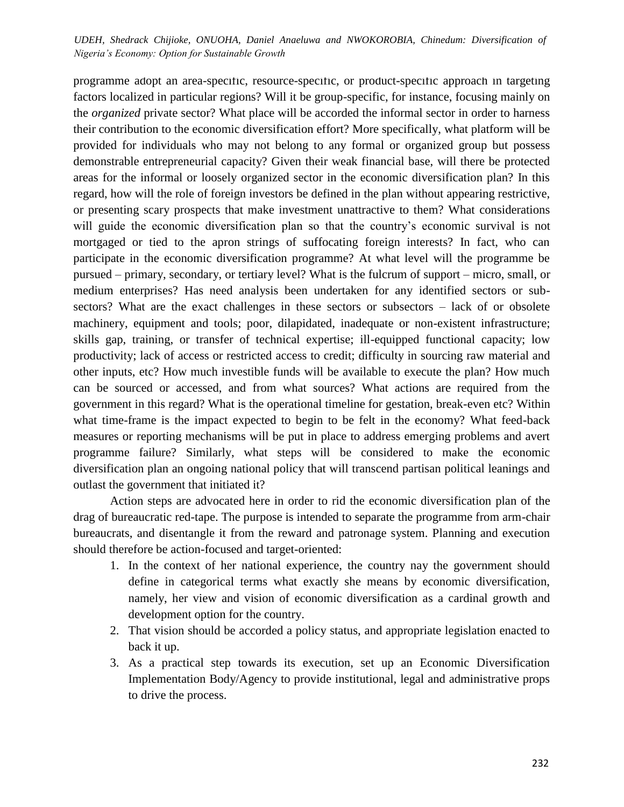*International Journal of Development and Management Review (INJODEMAR) Vol. 16, No. 1 June, 2021 UDEH, Shedrack Chijioke, ONUOHA, Daniel Anaeluwa and NWOKOROBIA, Chinedum: Diversification of Nigeria's Economy: Option for Sustainable Growth*

programme adopt an area-specific, resource-specific, or product-specific approach in targeting factors localized in particular regions? Will it be group-specific, for instance, focusing mainly on the *organized* private sector? What place will be accorded the informal sector in order to harness their contribution to the economic diversification effort? More specifically, what platform will be provided for individuals who may not belong to any formal or organized group but possess demonstrable entrepreneurial capacity? Given their weak financial base, will there be protected areas for the informal or loosely organized sector in the economic diversification plan? In this regard, how will the role of foreign investors be defined in the plan without appearing restrictive, or presenting scary prospects that make investment unattractive to them? What considerations will guide the economic diversification plan so that the country's economic survival is not mortgaged or tied to the apron strings of suffocating foreign interests? In fact, who can participate in the economic diversification programme? At what level will the programme be pursued – primary, secondary, or tertiary level? What is the fulcrum of support – micro, small, or medium enterprises? Has need analysis been undertaken for any identified sectors or subsectors? What are the exact challenges in these sectors or subsectors – lack of or obsolete machinery, equipment and tools; poor, dilapidated, inadequate or non-existent infrastructure; skills gap, training, or transfer of technical expertise; ill-equipped functional capacity; low productivity; lack of access or restricted access to credit; difficulty in sourcing raw material and other inputs, etc? How much investible funds will be available to execute the plan? How much can be sourced or accessed, and from what sources? What actions are required from the government in this regard? What is the operational timeline for gestation, break-even etc? Within what time-frame is the impact expected to begin to be felt in the economy? What feed-back measures or reporting mechanisms will be put in place to address emerging problems and avert programme failure? Similarly, what steps will be considered to make the economic diversification plan an ongoing national policy that will transcend partisan political leanings and outlast the government that initiated it?

Action steps are advocated here in order to rid the economic diversification plan of the drag of bureaucratic red-tape. The purpose is intended to separate the programme from arm-chair bureaucrats, and disentangle it from the reward and patronage system. Planning and execution should therefore be action-focused and target-oriented:

- 1. In the context of her national experience, the country nay the government should define in categorical terms what exactly she means by economic diversification, namely, her view and vision of economic diversification as a cardinal growth and development option for the country.
- 2. That vision should be accorded a policy status, and appropriate legislation enacted to back it up.
- 3. As a practical step towards its execution, set up an Economic Diversification Implementation Body/Agency to provide institutional, legal and administrative props to drive the process.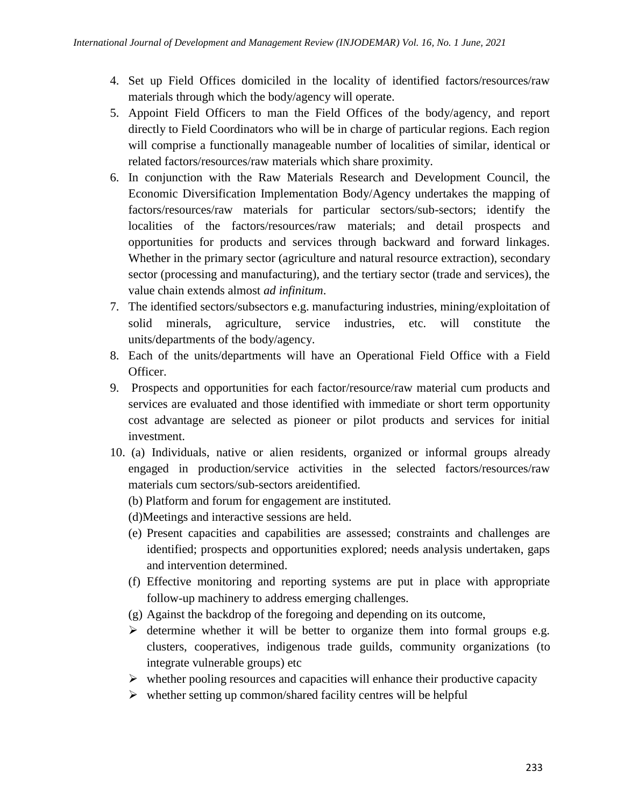- 4. Set up Field Offices domiciled in the locality of identified factors/resources/raw materials through which the body/agency will operate.
- 5. Appoint Field Officers to man the Field Offices of the body/agency, and report directly to Field Coordinators who will be in charge of particular regions. Each region will comprise a functionally manageable number of localities of similar, identical or related factors/resources/raw materials which share proximity.
- 6. In conjunction with the Raw Materials Research and Development Council, the Economic Diversification Implementation Body/Agency undertakes the mapping of factors/resources/raw materials for particular sectors/sub-sectors; identify the localities of the factors/resources/raw materials; and detail prospects and opportunities for products and services through backward and forward linkages. Whether in the primary sector (agriculture and natural resource extraction), secondary sector (processing and manufacturing), and the tertiary sector (trade and services), the value chain extends almost *ad infinitum*.
- 7. The identified sectors/subsectors e.g. manufacturing industries, mining/exploitation of solid minerals, agriculture, service industries, etc. will constitute the units/departments of the body/agency.
- 8. Each of the units/departments will have an Operational Field Office with a Field Officer.
- 9. Prospects and opportunities for each factor/resource/raw material cum products and services are evaluated and those identified with immediate or short term opportunity cost advantage are selected as pioneer or pilot products and services for initial investment.
- 10. (a) Individuals, native or alien residents, organized or informal groups already engaged in production/service activities in the selected factors/resources/raw materials cum sectors/sub-sectors areidentified.
	- (b) Platform and forum for engagement are instituted.
	- (d)Meetings and interactive sessions are held.
	- (e) Present capacities and capabilities are assessed; constraints and challenges are identified; prospects and opportunities explored; needs analysis undertaken, gaps and intervention determined.
	- (f) Effective monitoring and reporting systems are put in place with appropriate follow-up machinery to address emerging challenges.
	- (g) Against the backdrop of the foregoing and depending on its outcome,
	- $\triangleright$  determine whether it will be better to organize them into formal groups e.g. clusters, cooperatives, indigenous trade guilds, community organizations (to integrate vulnerable groups) etc
	- $\triangleright$  whether pooling resources and capacities will enhance their productive capacity
	- $\triangleright$  whether setting up common/shared facility centres will be helpful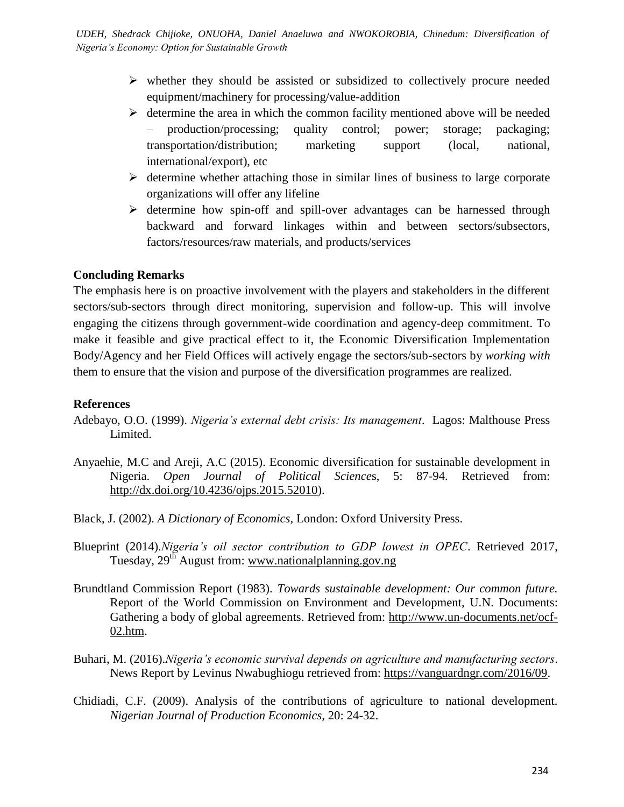- $\triangleright$  whether they should be assisted or subsidized to collectively procure needed equipment/machinery for processing/value-addition
- $\triangleright$  determine the area in which the common facility mentioned above will be needed – production/processing; quality control; power; storage; packaging; transportation/distribution; marketing support (local, national, international/export), etc
- $\triangleright$  determine whether attaching those in similar lines of business to large corporate organizations will offer any lifeline
- $\triangleright$  determine how spin-off and spill-over advantages can be harnessed through backward and forward linkages within and between sectors/subsectors, factors/resources/raw materials, and products/services

## **Concluding Remarks**

The emphasis here is on proactive involvement with the players and stakeholders in the different sectors/sub-sectors through direct monitoring, supervision and follow-up. This will involve engaging the citizens through government-wide coordination and agency-deep commitment. To make it feasible and give practical effect to it, the Economic Diversification Implementation Body/Agency and her Field Offices will actively engage the sectors/sub-sectors by *working with* them to ensure that the vision and purpose of the diversification programmes are realized.

## **References**

- Adebayo, O.O. (1999). *Nigeria's external debt crisis: Its management*. Lagos: Malthouse Press Limited.
- Anyaehie, M.C and Areji, A.C (2015). Economic diversification for sustainable development in Nigeria. *Open Journal of Political Science*s, 5: 87-94. Retrieved from: [http://dx.doi.org/10.4236/ojps.2015.52010\)](http://dx.doi.org/10.4236/ojps.2015.52010).
- Black, J. (2002). *A Dictionary of Economics,* London: Oxford University Press.
- Blueprint (2014).*Nigeria's oil sector contribution to GDP lowest in OPEC*. Retrieved 2017, Tuesday, 29<sup>th</sup> August from: [www.nationalplanning.gov.ng](http://www.nationalplanning.gov.ng/)
- Brundtland Commission Report (1983). *Towards sustainable development: Our common future.*  Report of the World Commission on Environment and Development, U.N. Documents: Gathering a body of global agreements. Retrieved from: [http://www.un-documents.net/ocf-](http://www.un-documents.net/ocf-02.htm)[02.htm.](http://www.un-documents.net/ocf-02.htm)
- Buhari, M. (2016).*Nigeria's economic survival depends on agriculture and manufacturing sectors*. News Report by Levinus Nwabughiogu retrieved from: [https://vanguardngr.com/2016/09.](https://vanguardngr.com/2016/09)
- Chidiadi, C.F. (2009). Analysis of the contributions of agriculture to national development. *Nigerian Journal of Production Economics,* 20: 24-32.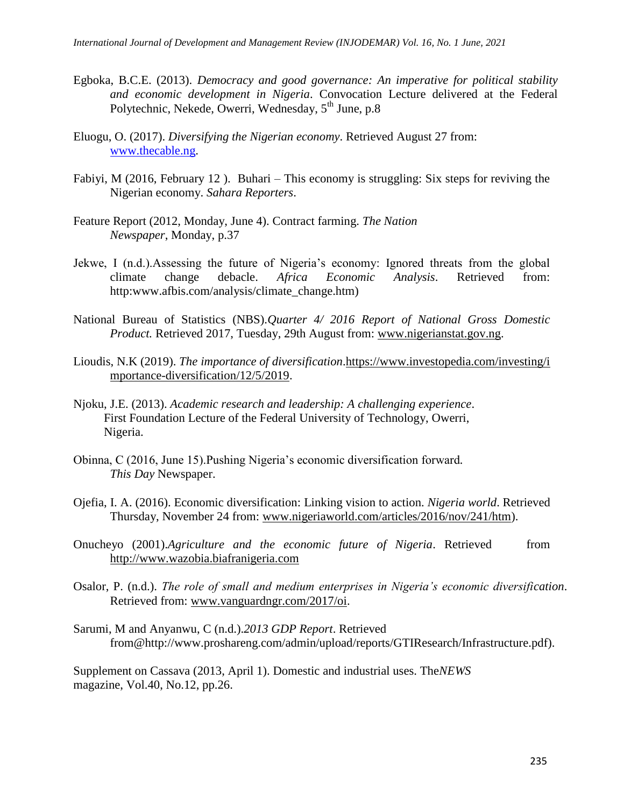- Egboka, B.C.E. (2013). *Democracy and good governance: An imperative for political stability and economic development in Nigeria*. Convocation Lecture delivered at the Federal Polytechnic, Nekede, Owerri, Wednesday, 5<sup>th</sup> June, p.8
- Eluogu, O. (2017). *Diversifying the Nigerian economy*. Retrieved August 27 from: [www.thecable.ng.](http://www.thecable.ng/)
- Fabiyi, M (2016, February 12 ). Buhari This economy is struggling: Six steps for reviving the Nigerian economy. *Sahara Reporters*.
- Feature Report (2012, Monday, June 4). Contract farming. *The Nation Newspaper*, Monday, p.37
- Jekwe, I (n.d.).Assessing the future of Nigeria's economy: Ignored threats from the global climate change debacle. *Africa Economic Analysis*. Retrieved from: http:www.afbis.com/analysis/climate\_change.htm)
- National Bureau of Statistics (NBS).*Quarter 4/ 2016 Report of National Gross Domestic Product.* Retrieved 2017, Tuesday, 29th August from: [www.nigerianstat.gov.ng.](http://www.nigerianstat.gov.ng/)
- Lioudis, N.K (2019). *The importance of diversification*[.https://www.investopedia.com/investing/i](https://www.investopedia.com/investing/importance-diversification/12/5/2019) [mportance-diversification/12/5/2019.](https://www.investopedia.com/investing/importance-diversification/12/5/2019)
- Njoku, J.E. (2013). *Academic research and leadership: A challenging experience*. First Foundation Lecture of the Federal University of Technology, Owerri, Nigeria.
- Obinna, C (2016, June 15).Pushing Nigeria's economic diversification forward*. This Day* Newspaper.
- Ojefia, I. A. (2016). Economic diversification: Linking vision to action. *Nigeria world*. Retrieved Thursday, November 24 from: [www.nigeriaworld.com/articles/2016/nov/241/htm\)](http://www.nigeriaworld.com/articles/2016/nov/241/htm).
- Onucheyo (2001).*Agriculture and the economic future of Nigeria*. Retrieved from [http://www.wazobia.biafranigeria.com](http://www.wazobia.biafranigeria.com/)
- Osalor, P. (n.d.). *The role of small and medium enterprises in Nigeria's economic diversification*. Retrieved from: [www.vanguardngr.com/2017/oi.](http://www.vanguardngr.com/2017/oi)
- Sarumi, M and Anyanwu, C (n.d.).*2013 GDP Report*. Retrieved from@http://www.proshareng.com/admin/upload/reports/GTIResearch/Infrastructure.pdf).

Supplement on Cassava (2013, April 1). Domestic and industrial uses. The*NEWS* magazine, Vol.40, No.12, pp.26.